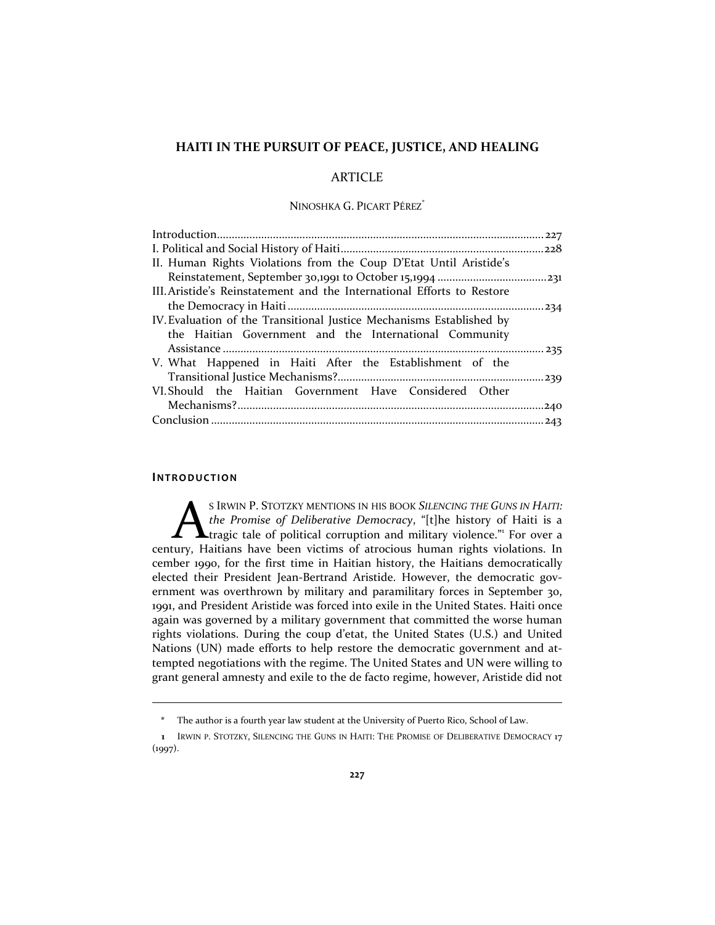## **HAITI IN THE PURSUIT OF PEACE, JUSTICE, AND HEALING**

# ARTICLE

### NINOSHKA G. PICART PÉREZ\*

### **INTRODUCTION**

S IRWIN P. STOTZKY MENTIONS IN HIS BOOK *SILENCING THE GUNS IN HAITI: the Promise of Deliberative Democracy*, "[t]he history of Haiti is a tragic tale of political corruption and military violence." For over a S IRWIN P. STOTZKY MENTIONS IN HIS BOOK *SILENCING THE GUNS IN HAITI:*<br>*the Promise of Deliberative Democracy*, "[t]he history of Haiti is a<br>century, Haitians have been victims of atrocious human rights violations. In cember 1990, for the first time in Haitian history, the Haitians democratically elected their President Jean-Bertrand Aristide. However, the democratic government was overthrown by military and paramilitary forces in September 30, 1991, and President Aristide was forced into exile in the United States. Haiti once again was governed by a military government that committed the worse human rights violations. During the coup d'etat, the United States (U.S.) and United Nations (UN) made efforts to help restore the democratic government and attempted negotiations with the regime. The United States and UN were willing to grant general amnesty and exile to the de facto regime, however, Aristide did not

**<sup>\*</sup>** The author is a fourth year law student at the University of Puerto Rico, School of Law.

**<sup>1</sup>** IRWIN P. STOTZKY, SILENCING THE GUNS IN HAITI: THE PROMISE OF DELIBERATIVE DEMOCRACY 17  $(1997).$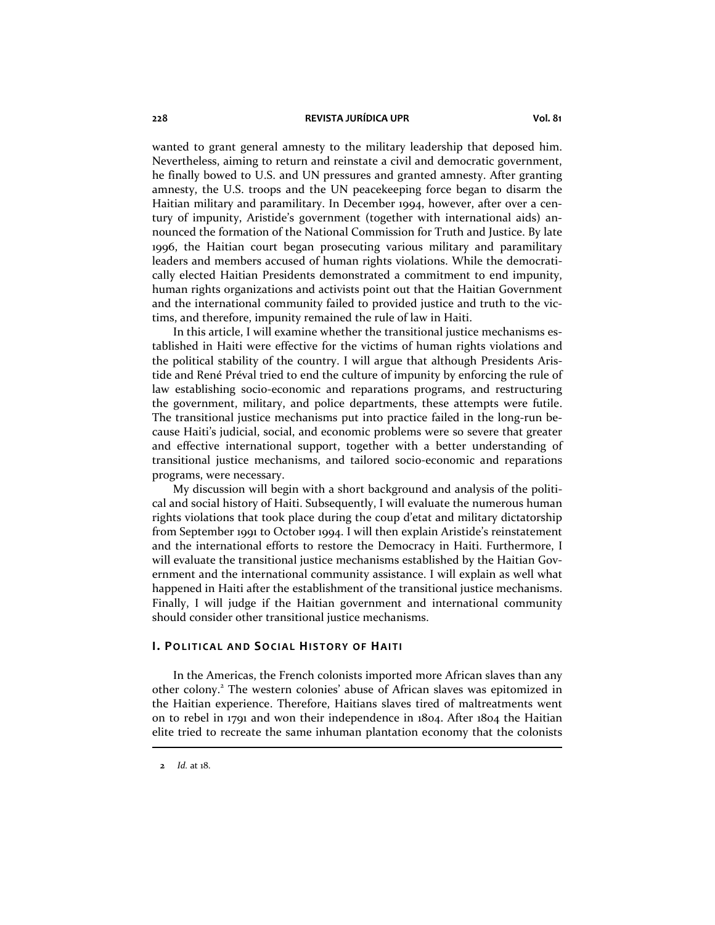wanted to grant general amnesty to the military leadership that deposed him. Nevertheless, aiming to return and reinstate a civil and democratic government, he finally bowed to U.S. and UN pressures and granted amnesty. After granting amnesty, the U.S. troops and the UN peacekeeping force began to disarm the Haitian military and paramilitary. In December 1994, however, after over a century of impunity, Aristide's government (together with international aids) announced the formation of the National Commission for Truth and Justice. By late 1996, the Haitian court began prosecuting various military and paramilitary leaders and members accused of human rights violations. While the democratically elected Haitian Presidents demonstrated a commitment to end impunity, human rights organizations and activists point out that the Haitian Government and the international community failed to provided justice and truth to the victims, and therefore, impunity remained the rule of law in Haiti.

In this article, I will examine whether the transitional justice mechanisms established in Haiti were effective for the victims of human rights violations and the political stability of the country. I will argue that although Presidents Aristide and René Préval tried to end the culture of impunity by enforcing the rule of law establishing socio-economic and reparations programs, and restructuring the government, military, and police departments, these attempts were futile. The transitional justice mechanisms put into practice failed in the long-run because Haiti's judicial, social, and economic problems were so severe that greater and effective international support, together with a better understanding of transitional justice mechanisms, and tailored socio-economic and reparations programs, were necessary.

My discussion will begin with a short background and analysis of the political and social history of Haiti. Subsequently, I will evaluate the numerous human rights violations that took place during the coup d'etat and military dictatorship from September 1991 to October 1994. I will then explain Aristide's reinstatement and the international efforts to restore the Democracy in Haiti. Furthermore, I will evaluate the transitional justice mechanisms established by the Haitian Government and the international community assistance. I will explain as well what happened in Haiti after the establishment of the transitional justice mechanisms. Finally, I will judge if the Haitian government and international community should consider other transitional justice mechanisms.

### **I. POLITICAL AND SOCIAL HISTORY OF HAITI**

In the Americas, the French colonists imported more African slaves than any other colony.<sup>2</sup> The western colonies' abuse of African slaves was epitomized in the Haitian experience. Therefore, Haitians slaves tired of maltreatments went on to rebel in 1791 and won their independence in 1804. After 1804 the Haitian elite tried to recreate the same inhuman plantation economy that the colonists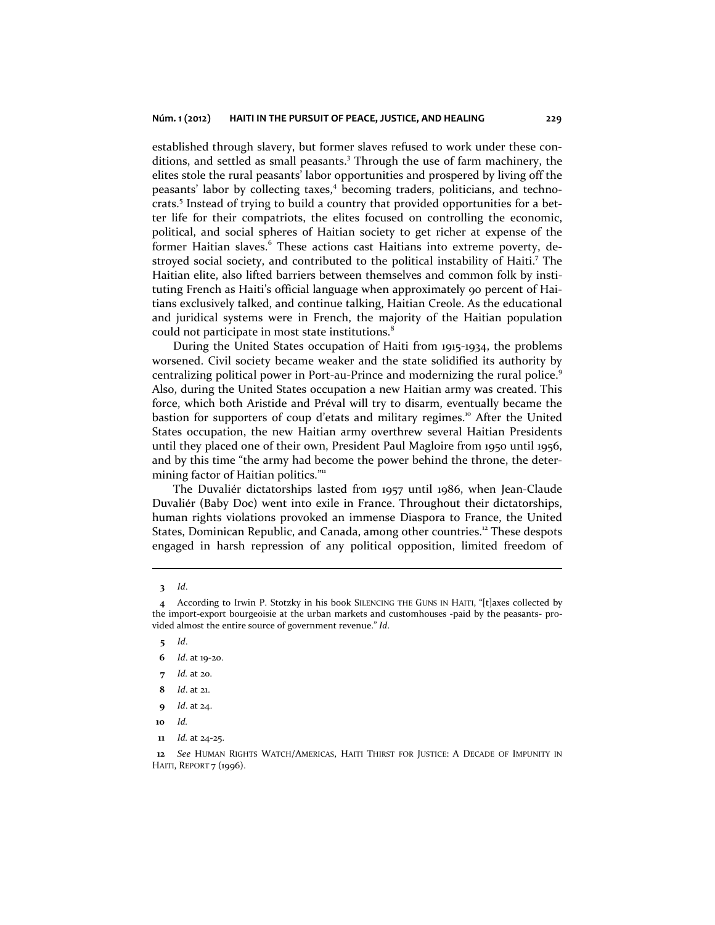established through slavery, but former slaves refused to work under these conditions, and settled as small peasants.<sup>3</sup> Through the use of farm machinery, the elites stole the rural peasants' labor opportunities and prospered by living off the peasants' labor by collecting taxes,<sup>4</sup> becoming traders, politicians, and technocrats.<sup>5</sup> Instead of trying to build a country that provided opportunities for a better life for their compatriots, the elites focused on controlling the economic, political, and social spheres of Haitian society to get richer at expense of the former Haitian slaves.<sup>6</sup> These actions cast Haitians into extreme poverty, destroyed social society, and contributed to the political instability of Haiti.7 The Haitian elite, also lifted barriers between themselves and common folk by instituting French as Haiti's official language when approximately 90 percent of Haitians exclusively talked, and continue talking, Haitian Creole. As the educational and juridical systems were in French, the majority of the Haitian population could not participate in most state institutions.<sup>8</sup>

During the United States occupation of Haiti from 1915-1934, the problems worsened. Civil society became weaker and the state solidified its authority by centralizing political power in Port-au-Prince and modernizing the rural police.<sup>9</sup> Also, during the United States occupation a new Haitian army was created. This force, which both Aristide and Préval will try to disarm, eventually became the bastion for supporters of coup d'etats and military regimes.<sup>10</sup> After the United States occupation, the new Haitian army overthrew several Haitian Presidents until they placed one of their own, President Paul Magloire from 1950 until 1956, and by this time "the army had become the power behind the throne, the determining factor of Haitian politics."<sup>11</sup>

The Duvaliér dictatorships lasted from 1957 until 1986, when Jean-Claude Duvaliér (Baby Doc) went into exile in France. Throughout their dictatorships, human rights violations provoked an immense Diaspora to France, the United States, Dominican Republic, and Canada, among other countries.12 These despots engaged in harsh repression of any political opposition, limited freedom of

- **7** *Id.* at 20.
- **8** *Id*. at 21.
- **9** *Id*. at 24.
- **10** *Id.*
- **11** *Id.* at 24-25.

**<sup>3</sup>** *Id*.

**<sup>4</sup>** According to Irwin P. Stotzky in his book SILENCING THE GUNS IN HAITI, "[t]axes collected by the import-export bourgeoisie at the urban markets and customhouses -paid by the peasants- provided almost the entire source of government revenue." *Id*.

**<sup>5</sup>** *Id*.

**<sup>6</sup>** *Id*. at 19-20.

**<sup>12</sup>** *See* HUMAN RIGHTS WATCH/AMERICAS, HAITI THIRST FOR JUSTICE: A DECADE OF IMPUNITY IN HAITI, REPORT 7 (1996).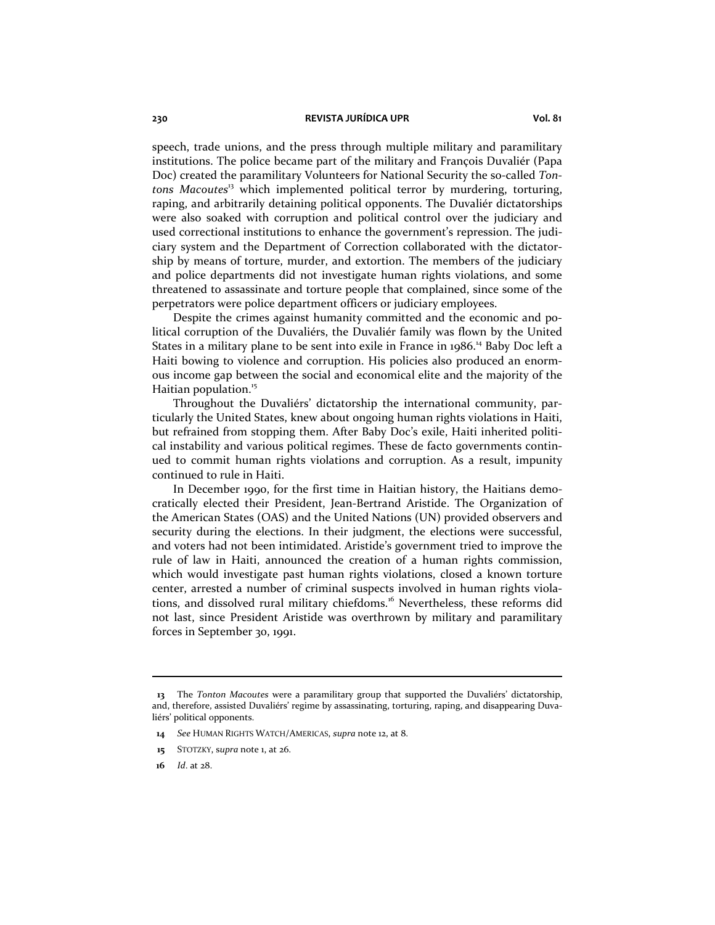speech, trade unions, and the press through multiple military and paramilitary institutions. The police became part of the military and François Duvaliér (Papa Doc) created the paramilitary Volunteers for National Security the so-called *Tontons Macoutes*13 which implemented political terror by murdering, torturing, raping, and arbitrarily detaining political opponents. The Duvaliér dictatorships were also soaked with corruption and political control over the judiciary and used correctional institutions to enhance the government's repression. The judiciary system and the Department of Correction collaborated with the dictatorship by means of torture, murder, and extortion. The members of the judiciary and police departments did not investigate human rights violations, and some threatened to assassinate and torture people that complained, since some of the perpetrators were police department officers or judiciary employees.

Despite the crimes against humanity committed and the economic and political corruption of the Duvaliérs, the Duvaliér family was flown by the United States in a military plane to be sent into exile in France in 1986.<sup>14</sup> Baby Doc left a Haiti bowing to violence and corruption. His policies also produced an enormous income gap between the social and economical elite and the majority of the Haitian population.<sup>15</sup>

Throughout the Duvaliérs' dictatorship the international community, particularly the United States, knew about ongoing human rights violations in Haiti, but refrained from stopping them. After Baby Doc's exile, Haiti inherited political instability and various political regimes. These de facto governments continued to commit human rights violations and corruption. As a result, impunity continued to rule in Haiti.

In December 1990, for the first time in Haitian history, the Haitians democratically elected their President, Jean-Bertrand Aristide. The Organization of the American States (OAS) and the United Nations (UN) provided observers and security during the elections. In their judgment, the elections were successful, and voters had not been intimidated. Aristide's government tried to improve the rule of law in Haiti, announced the creation of a human rights commission, which would investigate past human rights violations, closed a known torture center, arrested a number of criminal suspects involved in human rights violations, and dissolved rural military chiefdoms.<sup>16</sup> Nevertheless, these reforms did not last, since President Aristide was overthrown by military and paramilitary forces in September 30, 1991.

**<sup>13</sup>** The *Tonton Macoutes* were a paramilitary group that supported the Duvaliérs' dictatorship, and, therefore, assisted Duvaliérs' regime by assassinating, torturing, raping, and disappearing Duvaliérs' political opponents.

**<sup>14</sup>** *See* HUMAN RIGHTS WATCH/AMERICAS, *supra* note 12, at 8.

**<sup>15</sup>** STOTZKY, s*upra* note 1, at 26.

**<sup>16</sup>** *Id*. at 28.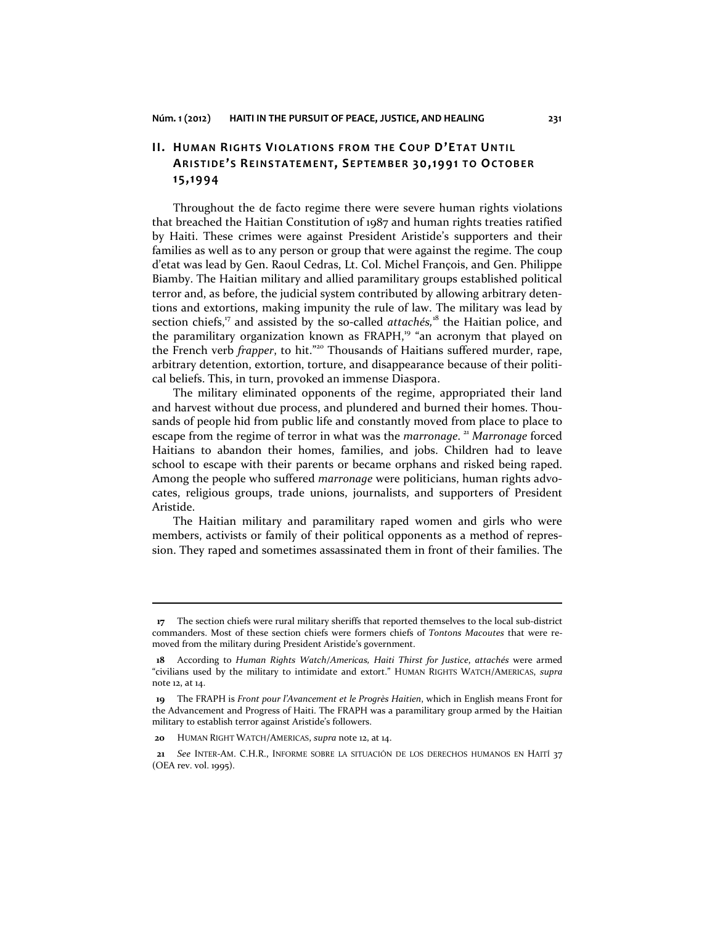# **II. HUMAN RIGHTS VIOLATIONS FROM THE COUP D'ETAT UNTIL ARISTIDE'S REINSTATEMENT, SEPTEMBER 30,1991 TO OCTOBER 15,1994**

Throughout the de facto regime there were severe human rights violations that breached the Haitian Constitution of 1987 and human rights treaties ratified by Haiti. These crimes were against President Aristide's supporters and their families as well as to any person or group that were against the regime. The coup d'etat was lead by Gen. Raoul Cedras, Lt. Col. Michel François, and Gen. Philippe Biamby. The Haitian military and allied paramilitary groups established political terror and, as before, the judicial system contributed by allowing arbitrary detentions and extortions, making impunity the rule of law. The military was lead by section chiefs,<sup>17</sup> and assisted by the so-called *attachés*,<sup>18</sup> the Haitian police, and the paramilitary organization known as FRAPH,<sup>19</sup> "an acronym that played on the French verb *frapper*, to hit."<sup>20</sup> Thousands of Haitians suffered murder, rape, arbitrary detention, extortion, torture, and disappearance because of their political beliefs. This, in turn, provoked an immense Diaspora.

The military eliminated opponents of the regime, appropriated their land and harvest without due process, and plundered and burned their homes. Thousands of people hid from public life and constantly moved from place to place to escape from the regime of terror in what was the *marronage*.<sup>21</sup> Marronage forced Haitians to abandon their homes, families, and jobs. Children had to leave school to escape with their parents or became orphans and risked being raped. Among the people who suffered *marronage* were politicians, human rights advocates, religious groups, trade unions, journalists, and supporters of President Aristide.

The Haitian military and paramilitary raped women and girls who were members, activists or family of their political opponents as a method of repression. They raped and sometimes assassinated them in front of their families. The

**<sup>17</sup>** The section chiefs were rural military sheriffs that reported themselves to the local sub-district commanders. Most of these section chiefs were formers chiefs of *Tontons Macoutes* that were removed from the military during President Aristide's government.

**<sup>18</sup>** According to *Human Rights Watch/Americas, Haiti Thirst for Justice*, *attachés* were armed "civilians used by the military to intimidate and extort." HUMAN RIGHTS WATCH/AMERICAS, *supra* note 12, at 14.

**<sup>19</sup>** The FRAPH is *Front pour l'Avancement et le Progrès Haitien*, which in English means Front for the Advancement and Progress of Haiti. The FRAPH was a paramilitary group armed by the Haitian military to establish terror against Aristide's followers.

**<sup>20</sup>** HUMAN RIGHT WATCH/AMERICAS, *supra* note 12, at 14.

**<sup>21</sup>** *See* INTER-AM. C.H.R., INFORME SOBRE LA SITUACIÓN DE LOS DERECHOS HUMANOS EN HAITÍ 37 (OEA rev. vol. 1995).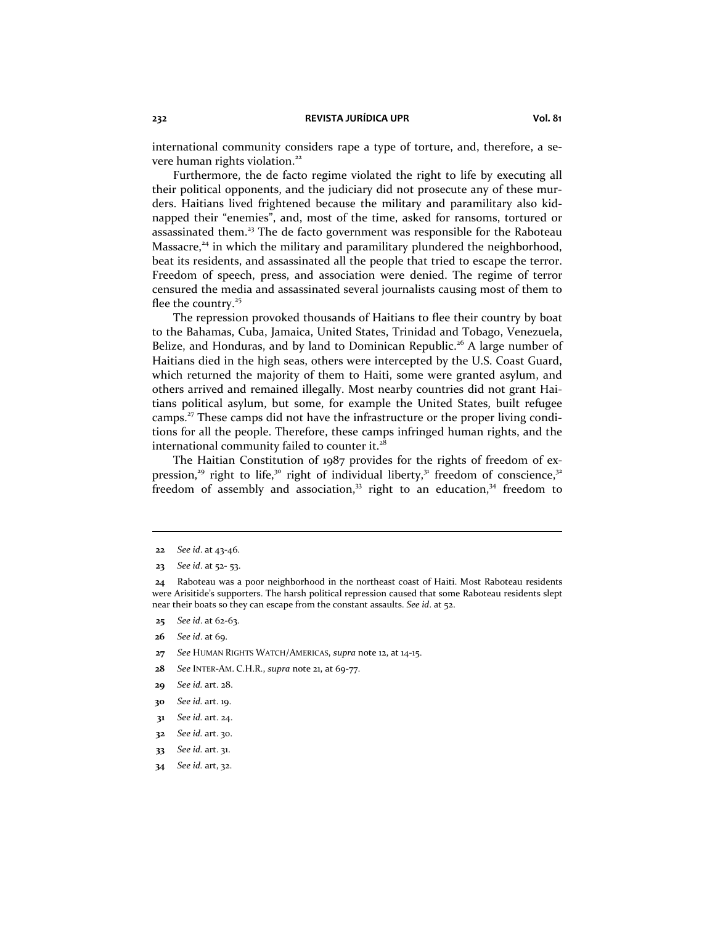international community considers rape a type of torture, and, therefore, a severe human rights violation.<sup>22</sup>

Furthermore, the de facto regime violated the right to life by executing all their political opponents, and the judiciary did not prosecute any of these murders. Haitians lived frightened because the military and paramilitary also kidnapped their "enemies", and, most of the time, asked for ransoms, tortured or assassinated them.<sup>23</sup> The de facto government was responsible for the Raboteau Massacre,<sup>24</sup> in which the military and paramilitary plundered the neighborhood, beat its residents, and assassinated all the people that tried to escape the terror. Freedom of speech, press, and association were denied. The regime of terror censured the media and assassinated several journalists causing most of them to flee the country.<sup>25</sup>

The repression provoked thousands of Haitians to flee their country by boat to the Bahamas, Cuba, Jamaica, United States, Trinidad and Tobago, Venezuela, Belize, and Honduras, and by land to Dominican Republic.<sup>26</sup> A large number of Haitians died in the high seas, others were intercepted by the U.S. Coast Guard, which returned the majority of them to Haiti, some were granted asylum, and others arrived and remained illegally. Most nearby countries did not grant Haitians political asylum, but some, for example the United States, built refugee camps.<sup>27</sup> These camps did not have the infrastructure or the proper living conditions for all the people. Therefore, these camps infringed human rights, and the international community failed to counter it.<sup>28</sup>

The Haitian Constitution of 1987 provides for the rights of freedom of expression,<sup>29</sup> right to life,<sup>30</sup> right of individual liberty,<sup>31</sup> freedom of conscience,<sup>32</sup> freedom of assembly and association, $33$  right to an education, $34$  freedom to

- **26** *See id*. at 69.
- **27** *See* HUMAN RIGHTS WATCH/AMERICAS, *supra* note 12, at 14-15.
- **28** *See* INTER-AM. C.H.R., *supra* note 21, at 69-77.
- **29** *See id.* art. 28.
- **30** *See id.* art. 19.
- **31** *See id.* art. 24.
- **32** *See id.* art. 30.
- **33** *See id.* art. 31.
- **34** *See id.* art, 32.

**<sup>22</sup>** *See id*. at 43-46.

**<sup>23</sup>** *See id*. at 52- 53.

**<sup>24</sup>** Raboteau was a poor neighborhood in the northeast coast of Haiti. Most Raboteau residents were Arisitide's supporters. The harsh political repression caused that some Raboteau residents slept near their boats so they can escape from the constant assaults. *See id*. at 52.

**<sup>25</sup>** *See id*. at 62-63.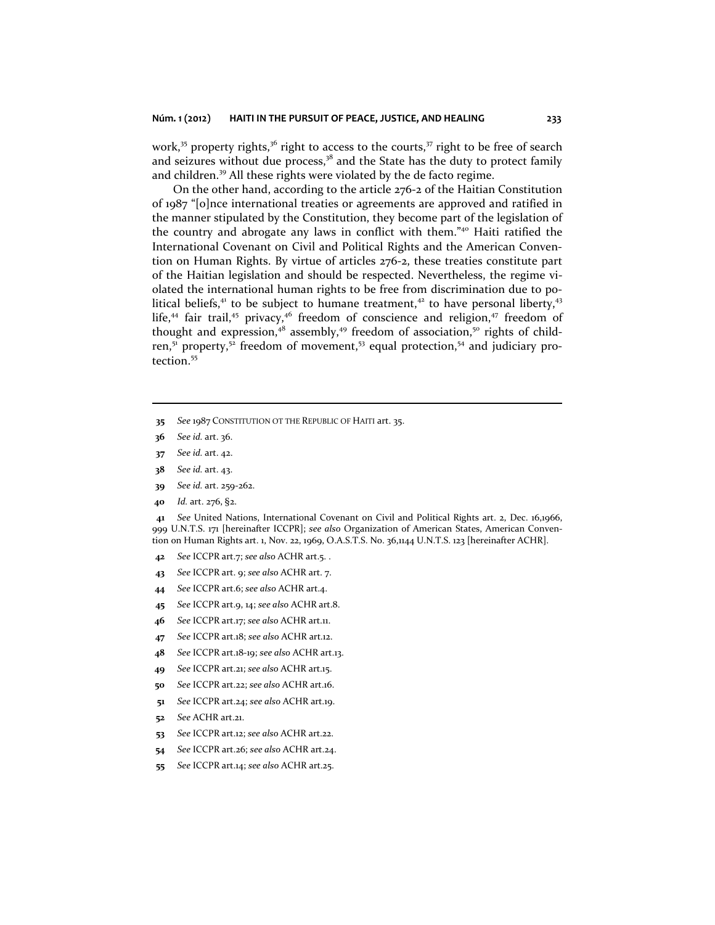work,<sup>35</sup> property rights,<sup>36</sup> right to access to the courts,<sup>37</sup> right to be free of search and seizures without due process, $3^8$  and the State has the duty to protect family and children.<sup>39</sup> All these rights were violated by the de facto regime.

On the other hand, according to the article 276-2 of the Haitian Constitution of 1987 "[o]nce international treaties or agreements are approved and ratified in the manner stipulated by the Constitution, they become part of the legislation of the country and abrogate any laws in conflict with them."40 Haiti ratified the International Covenant on Civil and Political Rights and the American Convention on Human Rights. By virtue of articles 276-2, these treaties constitute part of the Haitian legislation and should be respected. Nevertheless, the regime violated the international human rights to be free from discrimination due to political beliefs,<sup>41</sup> to be subject to humane treatment,<sup>42</sup> to have personal liberty,<sup>43</sup> life,<sup>44</sup> fair trail,<sup>45</sup> privacy,<sup>46</sup> freedom of conscience and religion,<sup>47</sup> freedom of thought and expression,<sup>48</sup> assembly,<sup>49</sup> freedom of association,<sup>50</sup> rights of children, $51$  property, $52$  freedom of movement, $53$  equal protection, $54$  and judiciary protection.<sup>55</sup>

- **35** *See* 1987 CONSTITUTION OT THE REPUBLIC OF HAITI art. 35.
- **36** *See id.* art. 36.

- **37** *See id.* art. 42.
- **38** *See id.* art. 43.
- **39** *See id.* art. 259-262.
- **40** *Id.* art. 276, §2.

**41** *See* United Nations, International Covenant on Civil and Political Rights art. 2, Dec. 16,1966, 999 U.N.T.S. 171 [hereinafter ICCPR]; *see also* Organization of American States, American Convention on Human Rights art. 1, Nov. 22, 1969, O.A.S.T.S. No. 36,1144 U.N.T.S. 123 [hereinafter ACHR].

- **42** *See* ICCPR art.7; *see also* ACHR art.5. .
- **43** *See* ICCPR art. 9; *see also* ACHR art. 7.
- **44** *See* ICCPR art.6; *see also* ACHR art.4.
- **45** *See* ICCPR art.9, 14; *see also* ACHR art.8.
- **46** *See* ICCPR art.17; *see also* ACHR art.11.
- **47** *See* ICCPR art.18; *see also* ACHR art.12.
- **48** *See* ICCPR art.18-19; *see also* ACHR art.13.
- **49** *See* ICCPR art.21; *see also* ACHR art.15.
- **50** *See* ICCPR art.22; *see also* ACHR art.16.
- **51** *See* ICCPR art.24; *see also* ACHR art.19.
- **52** *See* ACHR art.21.
- **53** *See* ICCPR art.12; *see also* ACHR art.22.
- **54** *See* ICCPR art.26; *see also* ACHR art.24.
- **55** *See* ICCPR art.14; *see also* ACHR art.25.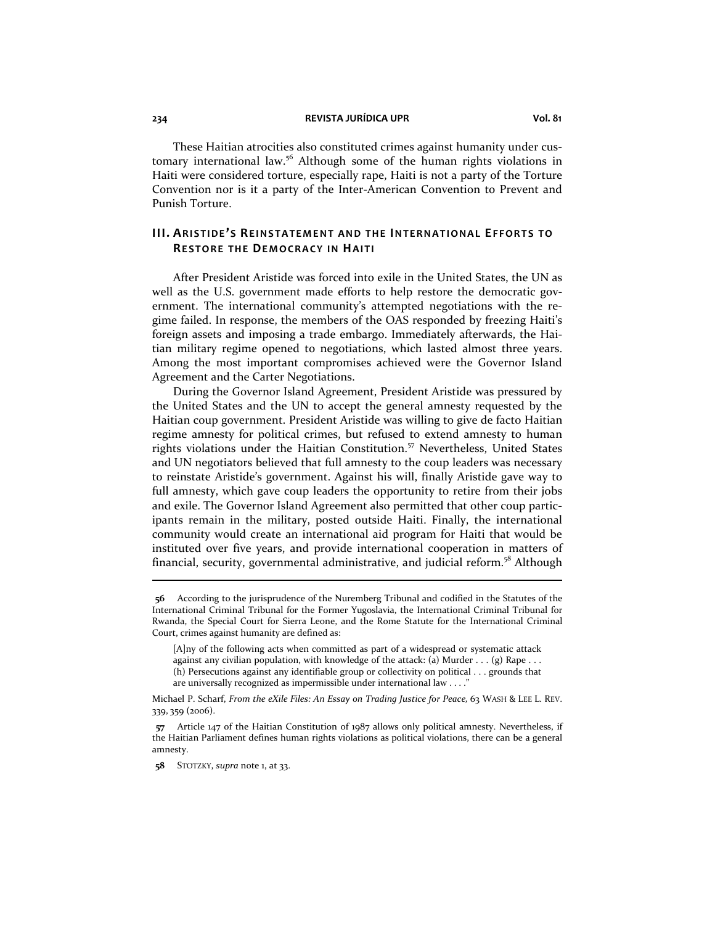These Haitian atrocities also constituted crimes against humanity under customary international law.<sup>56</sup> Although some of the human rights violations in Haiti were considered torture, especially rape, Haiti is not a party of the Torture Convention nor is it a party of the Inter-American Convention to Prevent and Punish Torture.

## **III. ARISTIDE'S REINSTATEMENT AND THE INTERNATIONAL EFFORTS TO RESTORE THE DEMOCRACY IN HAITI**

After President Aristide was forced into exile in the United States, the UN as well as the U.S. government made efforts to help restore the democratic government. The international community's attempted negotiations with the regime failed. In response, the members of the OAS responded by freezing Haiti's foreign assets and imposing a trade embargo. Immediately afterwards, the Haitian military regime opened to negotiations, which lasted almost three years. Among the most important compromises achieved were the Governor Island Agreement and the Carter Negotiations.

During the Governor Island Agreement, President Aristide was pressured by the United States and the UN to accept the general amnesty requested by the Haitian coup government. President Aristide was willing to give de facto Haitian regime amnesty for political crimes, but refused to extend amnesty to human rights violations under the Haitian Constitution.<sup>57</sup> Nevertheless, United States and UN negotiators believed that full amnesty to the coup leaders was necessary to reinstate Aristide's government. Against his will, finally Aristide gave way to full amnesty, which gave coup leaders the opportunity to retire from their jobs and exile. The Governor Island Agreement also permitted that other coup participants remain in the military, posted outside Haiti. Finally, the international community would create an international aid program for Haiti that would be instituted over five years, and provide international cooperation in matters of financial, security, governmental administrative, and judicial reform.<sup>58</sup> Although

 **<sup>56</sup>** According to the jurisprudence of the Nuremberg Tribunal and codified in the Statutes of the International Criminal Tribunal for the Former Yugoslavia, the International Criminal Tribunal for Rwanda, the Special Court for Sierra Leone, and the Rome Statute for the International Criminal Court, crimes against humanity are defined as:

<sup>[</sup>A]ny of the following acts when committed as part of a widespread or systematic attack against any civilian population, with knowledge of the attack: (a) Murder  $\dots$  (g) Rape  $\dots$ (h) Persecutions against any identifiable group or collectivity on political . . . grounds that are universally recognized as impermissible under international law . . . ."

Michael P. Scharf, *From the eXile Files: An Essay on Trading Justice for Peace,* 63 WASH & LEE L. REV. 339, 359 (2006).

**<sup>57</sup>** Article 147 of the Haitian Constitution of 1987 allows only political amnesty. Nevertheless, if the Haitian Parliament defines human rights violations as political violations, there can be a general amnesty.

**<sup>58</sup>** STOTZKY, *supra* note 1, at 33.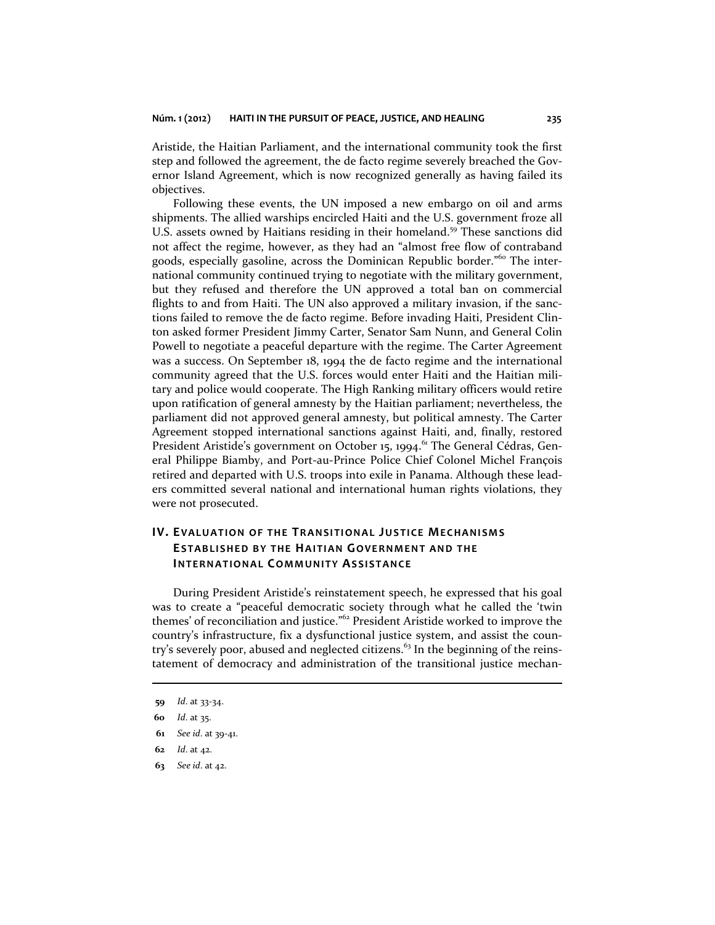Aristide, the Haitian Parliament, and the international community took the first step and followed the agreement, the de facto regime severely breached the Governor Island Agreement, which is now recognized generally as having failed its objectives.

Following these events, the UN imposed a new embargo on oil and arms shipments. The allied warships encircled Haiti and the U.S. government froze all U.S. assets owned by Haitians residing in their homeland.<sup>59</sup> These sanctions did not affect the regime, however, as they had an "almost free flow of contraband goods, especially gasoline, across the Dominican Republic border."<sup>60</sup> The international community continued trying to negotiate with the military government, but they refused and therefore the UN approved a total ban on commercial flights to and from Haiti. The UN also approved a military invasion, if the sanctions failed to remove the de facto regime. Before invading Haiti, President Clinton asked former President Jimmy Carter, Senator Sam Nunn, and General Colin Powell to negotiate a peaceful departure with the regime. The Carter Agreement was a success. On September 18, 1994 the de facto regime and the international community agreed that the U.S. forces would enter Haiti and the Haitian military and police would cooperate. The High Ranking military officers would retire upon ratification of general amnesty by the Haitian parliament; nevertheless, the parliament did not approved general amnesty, but political amnesty. The Carter Agreement stopped international sanctions against Haiti, and, finally, restored President Aristide's government on October 15, 1994.<sup>61</sup> The General Cédras, General Philippe Biamby, and Port-au-Prince Police Chief Colonel Michel François retired and departed with U.S. troops into exile in Panama. Although these leaders committed several national and international human rights violations, they were not prosecuted.

# **IV. EVALUATION OF THE TRANSITIONAL JUSTICE MECHANISMS ESTABLISHED BY THE HAITIAN GOVERNMENT AND THE INTERNATIONAL COMMUNITY ASSISTANCE**

During President Aristide's reinstatement speech, he expressed that his goal was to create a "peaceful democratic society through what he called the 'twin themes' of reconciliation and justice."<sup>62</sup> President Aristide worked to improve the country's infrastructure, fix a dysfunctional justice system, and assist the country's severely poor, abused and neglected citizens.<sup>63</sup> In the beginning of the reinstatement of democracy and administration of the transitional justice mechan-

 $\overline{a}$ 

- **61** *See id*. at 39-41.
- **62** *Id*. at 42.
- **63** *See id*. at 42.

**<sup>59</sup>** *Id*. at 33-34.

**<sup>60</sup>** *Id*. at 35.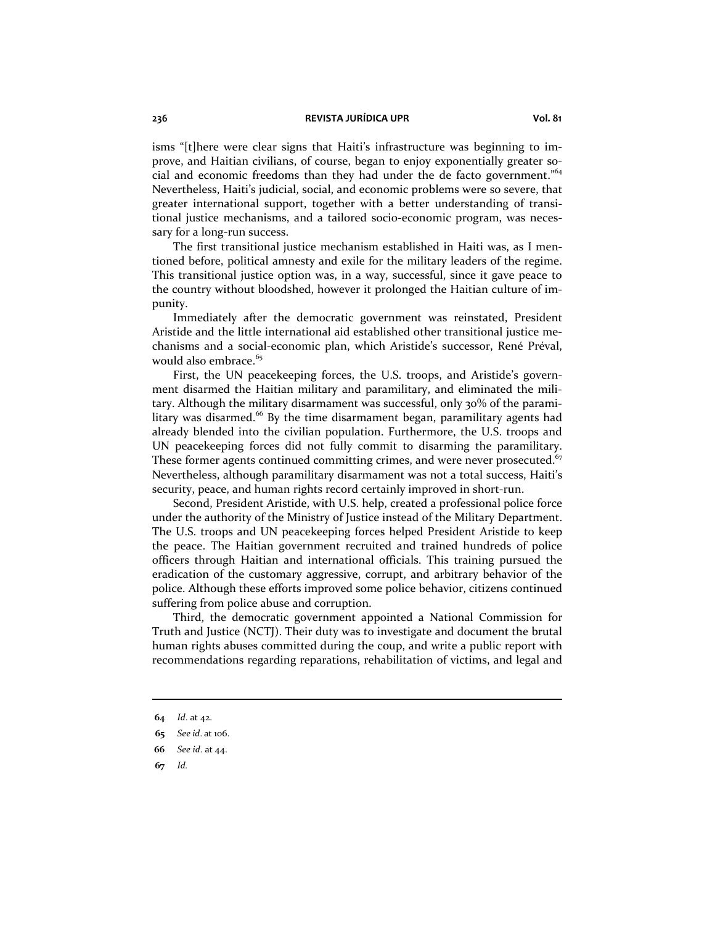isms "[t]here were clear signs that Haiti's infrastructure was beginning to improve, and Haitian civilians, of course, began to enjoy exponentially greater social and economic freedoms than they had under the de facto government."<sup>64</sup> Nevertheless, Haiti's judicial, social, and economic problems were so severe, that greater international support, together with a better understanding of transitional justice mechanisms, and a tailored socio-economic program, was necessary for a long-run success.

The first transitional justice mechanism established in Haiti was, as I mentioned before, political amnesty and exile for the military leaders of the regime. This transitional justice option was, in a way, successful, since it gave peace to the country without bloodshed, however it prolonged the Haitian culture of impunity.

Immediately after the democratic government was reinstated, President Aristide and the little international aid established other transitional justice mechanisms and a social-economic plan, which Aristide's successor, René Préval, would also embrace.<sup>65</sup>

First, the UN peacekeeping forces, the U.S. troops, and Aristide's government disarmed the Haitian military and paramilitary, and eliminated the military. Although the military disarmament was successful, only 30% of the paramilitary was disarmed.<sup>66</sup> By the time disarmament began, paramilitary agents had already blended into the civilian population. Furthermore, the U.S. troops and UN peacekeeping forces did not fully commit to disarming the paramilitary. These former agents continued committing crimes, and were never prosecuted.<sup>67</sup> Nevertheless, although paramilitary disarmament was not a total success, Haiti's security, peace, and human rights record certainly improved in short-run.

Second, President Aristide, with U.S. help, created a professional police force under the authority of the Ministry of Justice instead of the Military Department. The U.S. troops and UN peacekeeping forces helped President Aristide to keep the peace. The Haitian government recruited and trained hundreds of police officers through Haitian and international officials. This training pursued the eradication of the customary aggressive, corrupt, and arbitrary behavior of the police. Although these efforts improved some police behavior, citizens continued suffering from police abuse and corruption.

Third, the democratic government appointed a National Commission for Truth and Justice (NCTJ). Their duty was to investigate and document the brutal human rights abuses committed during the coup, and write a public report with recommendations regarding reparations, rehabilitation of victims, and legal and

- **66** *See id*. at 44.
- **67** *Id.*

**<sup>64</sup>** *Id*. at 42.

**<sup>65</sup>** *See id*. at 106.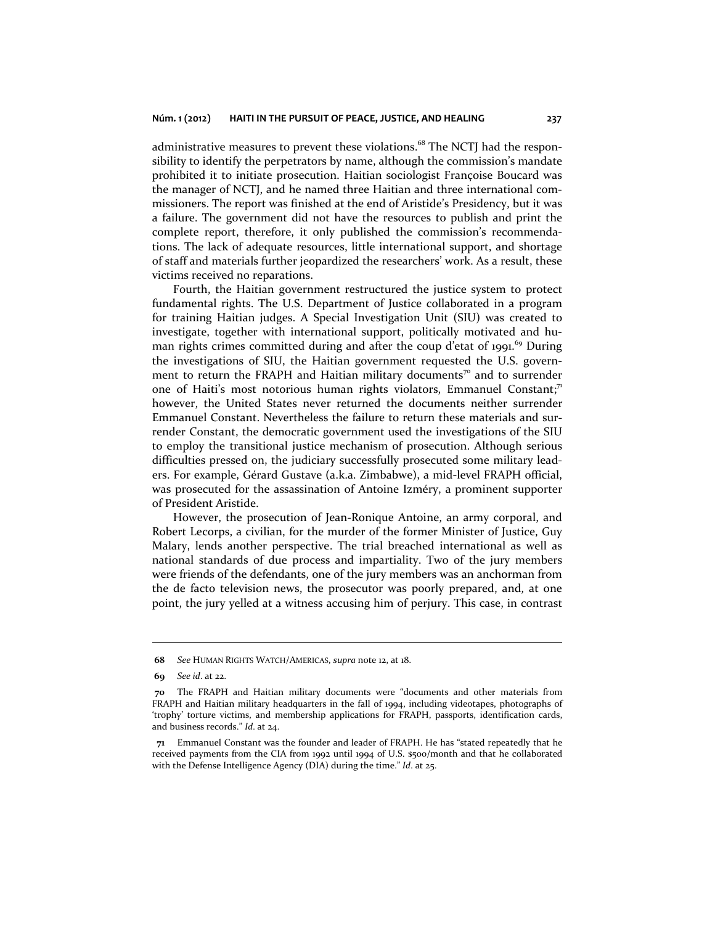administrative measures to prevent these violations.<sup>68</sup> The NCTJ had the responsibility to identify the perpetrators by name, although the commission's mandate prohibited it to initiate prosecution. Haitian sociologist Françoise Boucard was the manager of NCTJ, and he named three Haitian and three international commissioners. The report was finished at the end of Aristide's Presidency, but it was a failure. The government did not have the resources to publish and print the complete report, therefore, it only published the commission's recommendations. The lack of adequate resources, little international support, and shortage of staff and materials further jeopardized the researchers' work. As a result, these victims received no reparations.

Fourth, the Haitian government restructured the justice system to protect fundamental rights. The U.S. Department of Justice collaborated in a program for training Haitian judges. A Special Investigation Unit (SIU) was created to investigate, together with international support, politically motivated and human rights crimes committed during and after the coup d'etat of 1991.<sup>69</sup> During the investigations of SIU, the Haitian government requested the U.S. government to return the FRAPH and Haitian military documents<sup>70</sup> and to surrender one of Haiti's most notorious human rights violators, Emmanuel Constant; $\tau$ however, the United States never returned the documents neither surrender Emmanuel Constant. Nevertheless the failure to return these materials and surrender Constant, the democratic government used the investigations of the SIU to employ the transitional justice mechanism of prosecution. Although serious difficulties pressed on, the judiciary successfully prosecuted some military leaders. For example, Gérard Gustave (a.k.a. Zimbabwe), a mid-level FRAPH official, was prosecuted for the assassination of Antoine Izméry, a prominent supporter of President Aristide.

However, the prosecution of Jean-Ronique Antoine, an army corporal, and Robert Lecorps, a civilian, for the murder of the former Minister of Justice, Guy Malary, lends another perspective. The trial breached international as well as national standards of due process and impartiality. Two of the jury members were friends of the defendants, one of the jury members was an anchorman from the de facto television news, the prosecutor was poorly prepared, and, at one point, the jury yelled at a witness accusing him of perjury. This case, in contrast

**<sup>68</sup>** *See* HUMAN RIGHTS WATCH/AMERICAS, *supra* note 12, at 18.

**<sup>69</sup>** *See id*. at 22.

**<sup>70</sup>** The FRAPH and Haitian military documents were "documents and other materials from FRAPH and Haitian military headquarters in the fall of 1994, including videotapes, photographs of 'trophy' torture victims, and membership applications for FRAPH, passports, identification cards, and business records." *Id*. at 24.

**<sup>71</sup>** Emmanuel Constant was the founder and leader of FRAPH. He has "stated repeatedly that he received payments from the CIA from 1992 until 1994 of U.S. \$500/month and that he collaborated with the Defense Intelligence Agency (DIA) during the time." *Id*. at 25.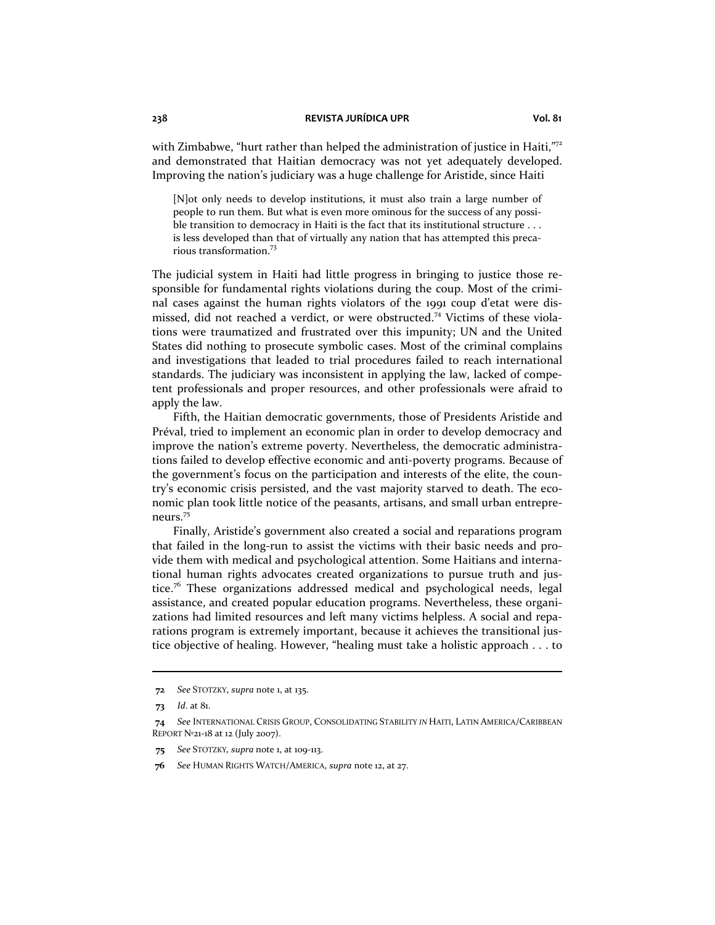with Zimbabwe, "hurt rather than helped the administration of justice in Haiti,"72 and demonstrated that Haitian democracy was not yet adequately developed. Improving the nation's judiciary was a huge challenge for Aristide, since Haiti

[N]ot only needs to develop institutions, it must also train a large number of people to run them. But what is even more ominous for the success of any possible transition to democracy in Haiti is the fact that its institutional structure . . . is less developed than that of virtually any nation that has attempted this precarious transformation.73

The judicial system in Haiti had little progress in bringing to justice those responsible for fundamental rights violations during the coup. Most of the criminal cases against the human rights violators of the 1991 coup d'etat were dismissed, did not reached a verdict, or were obstructed.74 Victims of these violations were traumatized and frustrated over this impunity; UN and the United States did nothing to prosecute symbolic cases. Most of the criminal complains and investigations that leaded to trial procedures failed to reach international standards. The judiciary was inconsistent in applying the law, lacked of competent professionals and proper resources, and other professionals were afraid to apply the law.

Fifth, the Haitian democratic governments, those of Presidents Aristide and Préval, tried to implement an economic plan in order to develop democracy and improve the nation's extreme poverty. Nevertheless, the democratic administrations failed to develop effective economic and anti-poverty programs. Because of the government's focus on the participation and interests of the elite, the country's economic crisis persisted, and the vast majority starved to death. The economic plan took little notice of the peasants, artisans, and small urban entrepreneurs.<sup>75</sup>

Finally, Aristide's government also created a social and reparations program that failed in the long-run to assist the victims with their basic needs and provide them with medical and psychological attention. Some Haitians and international human rights advocates created organizations to pursue truth and justice.<sup>76</sup> These organizations addressed medical and psychological needs, legal assistance, and created popular education programs. Nevertheless, these organizations had limited resources and left many victims helpless. A social and reparations program is extremely important, because it achieves the transitional justice objective of healing. However, "healing must take a holistic approach . . . to

**<sup>72</sup>** *See* STOTZKY, *supra* note 1, at 135.

**<sup>73</sup>** *Id*. at 81.

**<sup>74</sup>** *See* INTERNATIONAL CRISIS GROUP, CONSOLIDATING STABILITY *IN* HAITI, LATIN AMERICA/CARIBBEAN REPORT Nº21-18 at 12 (July 2007).

**<sup>75</sup>** *See* STOTZKY*, supra* note 1, at 109-113.

**<sup>76</sup>** *See* HUMAN RIGHTS WATCH/AMERICA, *supra* note 12, at 27.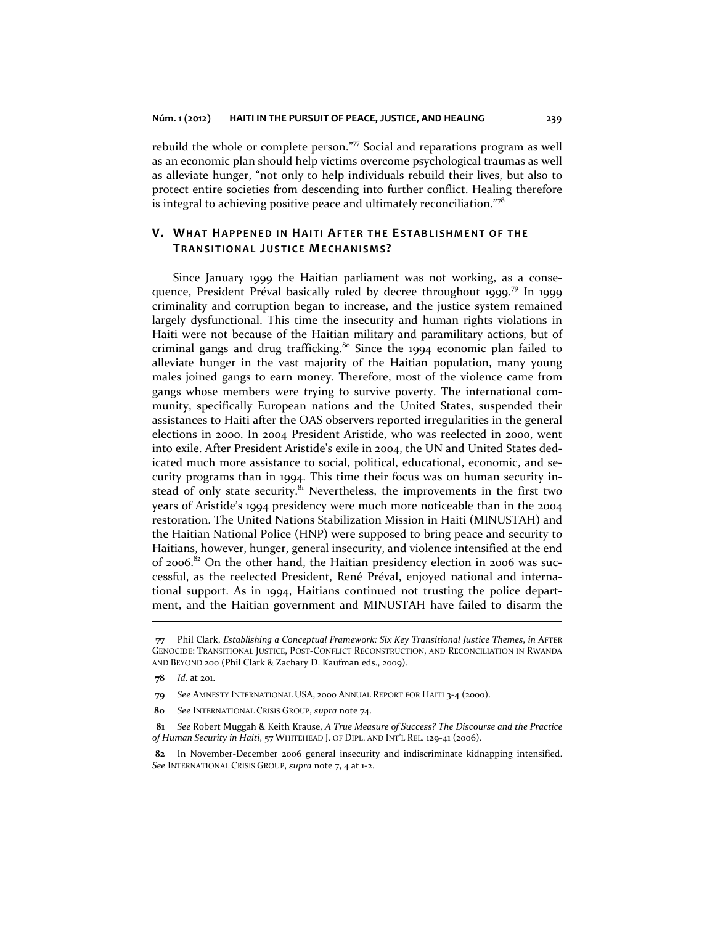rebuild the whole or complete person." $77$  Social and reparations program as well as an economic plan should help victims overcome psychological traumas as well as alleviate hunger, "not only to help individuals rebuild their lives, but also to protect entire societies from descending into further conflict. Healing therefore is integral to achieving positive peace and ultimately reconciliation."78

## **V. WHAT HAPPENED IN HAITI AFTER THE ESTABLISHMENT OF THE TRANSITIONAL JUSTICE MECHANISMS?**

Since January 1999 the Haitian parliament was not working, as a consequence, President Préval basically ruled by decree throughout 1999.79 In 1999 criminality and corruption began to increase, and the justice system remained largely dysfunctional. This time the insecurity and human rights violations in Haiti were not because of the Haitian military and paramilitary actions, but of criminal gangs and drug trafficking.<sup>80</sup> Since the 1994 economic plan failed to alleviate hunger in the vast majority of the Haitian population, many young males joined gangs to earn money. Therefore, most of the violence came from gangs whose members were trying to survive poverty. The international community, specifically European nations and the United States, suspended their assistances to Haiti after the OAS observers reported irregularities in the general elections in 2000. In 2004 President Aristide, who was reelected in 2000, went into exile. After President Aristide's exile in 2004, the UN and United States dedicated much more assistance to social, political, educational, economic, and security programs than in 1994. This time their focus was on human security instead of only state security.<sup>81</sup> Nevertheless, the improvements in the first two years of Aristide's 1994 presidency were much more noticeable than in the 2004 restoration. The United Nations Stabilization Mission in Haiti (MINUSTAH) and the Haitian National Police (HNP) were supposed to bring peace and security to Haitians, however, hunger, general insecurity, and violence intensified at the end of 2006. $82$  On the other hand, the Haitian presidency election in 2006 was successful, as the reelected President, René Préval, enjoyed national and international support. As in 1994, Haitians continued not trusting the police department, and the Haitian government and MINUSTAH have failed to disarm the 

- **79** *See* AMNESTY INTERNATIONAL USA, 2000 ANNUAL REPORT FOR HAITI 3-4 (2000).
- **80** *See* INTERNATIONAL CRISIS GROUP, *supra* note 74.

**<sup>77</sup>** Phil Clark, *Establishing a Conceptual Framework: Six Key Transitional Justice Themes*, *in* AFTER GENOCIDE: TRANSITIONAL JUSTICE, POST-CONFLICT RECONSTRUCTION, AND RECONCILIATION IN RWANDA AND BEYOND 200 (Phil Clark & Zachary D. Kaufman eds., 2009).

**<sup>78</sup>** *Id*. at 201.

**<sup>81</sup>** *See* Robert Muggah & Keith Krause, *A True Measure of Success? The Discourse and the Practice of Human Security in Haiti*, 57 WHITEHEAD J. OF DIPL. AND INT'L REL. 129-41 (2006).

**<sup>82</sup>** In November-December 2006 general insecurity and indiscriminate kidnapping intensified. *See* INTERNATIONAL CRISIS GROUP, *supra* note 7, 4 at 1-2.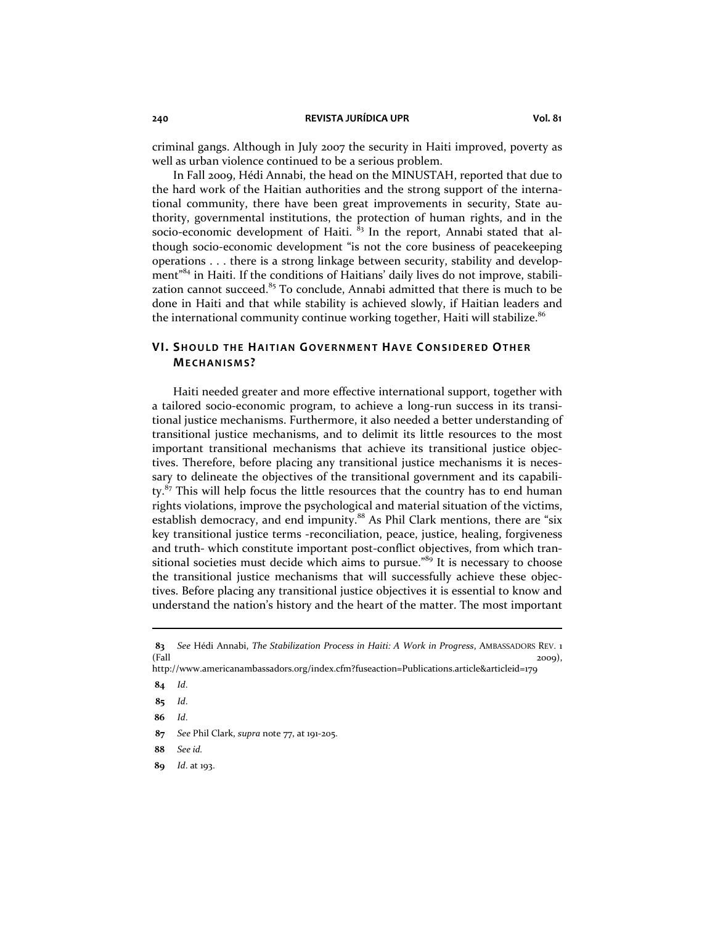criminal gangs. Although in July 2007 the security in Haiti improved, poverty as well as urban violence continued to be a serious problem.

In Fall 2009, Hédi Annabi, the head on the MINUSTAH, reported that due to the hard work of the Haitian authorities and the strong support of the international community, there have been great improvements in security, State authority, governmental institutions, the protection of human rights, and in the socio-economic development of Haiti.  $8<sub>3</sub>$  In the report, Annabi stated that although socio-economic development "is not the core business of peacekeeping operations . . . there is a strong linkage between security, stability and development<sup>384</sup> in Haiti. If the conditions of Haitians' daily lives do not improve, stabilization cannot succeed. $85$  To conclude, Annabi admitted that there is much to be done in Haiti and that while stability is achieved slowly, if Haitian leaders and the international community continue working together, Haiti will stabilize.<sup>86</sup>

## **VI. SHOULD THE HAITIAN GOVERNMENT HAVE CONSIDERED OTHER MECHANISMS?**

Haiti needed greater and more effective international support, together with a tailored socio-economic program, to achieve a long-run success in its transitional justice mechanisms. Furthermore, it also needed a better understanding of transitional justice mechanisms, and to delimit its little resources to the most important transitional mechanisms that achieve its transitional justice objectives. Therefore, before placing any transitional justice mechanisms it is necessary to delineate the objectives of the transitional government and its capability. $87$  This will help focus the little resources that the country has to end human rights violations, improve the psychological and material situation of the victims, establish democracy, and end impunity.<sup>88</sup> As Phil Clark mentions, there are "six key transitional justice terms -reconciliation, peace, justice, healing, forgiveness and truth- which constitute important post-conflict objectives, from which transitional societies must decide which aims to pursue.<sup>"89</sup> It is necessary to choose the transitional justice mechanisms that will successfully achieve these objectives. Before placing any transitional justice objectives it is essential to know and understand the nation's history and the heart of the matter. The most important

**84** *Id*.

- **88** *See id.*
- **89** *Id*. at 193.

**<sup>83</sup>** *See* Hédi Annabi, *The Stabilization Process in Haiti: A Work in Progress*, AMBASSADORS REV. 1  $(Fall \t 2009),$ 

http://www.americanambassadors.org/index.cfm?fuseaction=Publications.article&articleid=179

**<sup>85</sup>** *Id*.

**<sup>86</sup>** *Id*.

**<sup>87</sup>** *See* Phil Clark, *supra* note 77, at 191-205.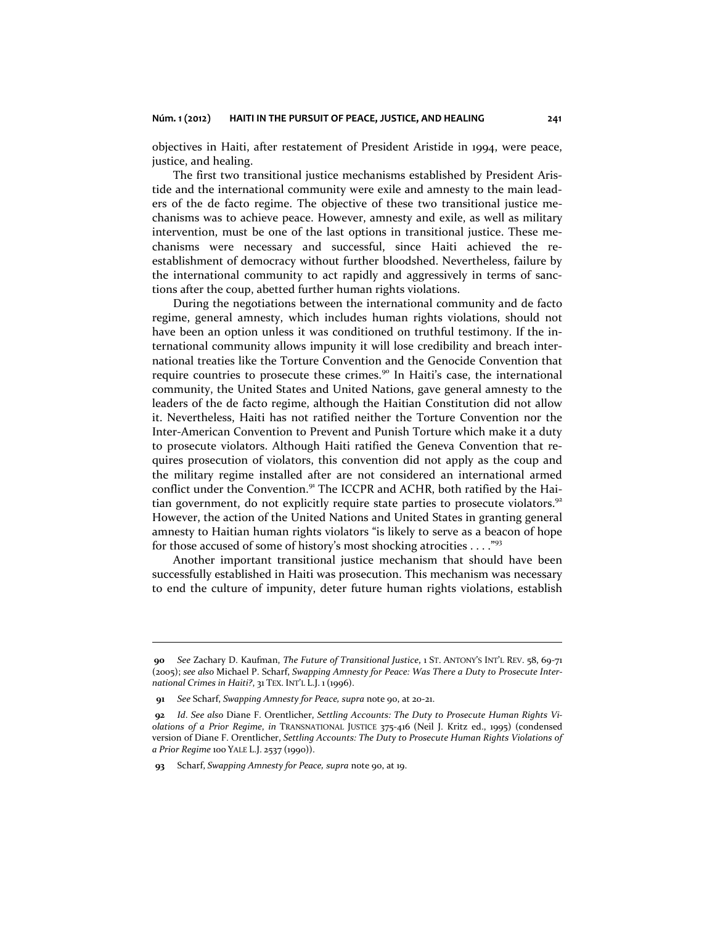objectives in Haiti, after restatement of President Aristide in 1994, were peace, justice, and healing.

The first two transitional justice mechanisms established by President Aristide and the international community were exile and amnesty to the main leaders of the de facto regime. The objective of these two transitional justice mechanisms was to achieve peace. However, amnesty and exile, as well as military intervention, must be one of the last options in transitional justice. These mechanisms were necessary and successful, since Haiti achieved the reestablishment of democracy without further bloodshed. Nevertheless, failure by the international community to act rapidly and aggressively in terms of sanctions after the coup, abetted further human rights violations.

During the negotiations between the international community and de facto regime, general amnesty, which includes human rights violations, should not have been an option unless it was conditioned on truthful testimony. If the international community allows impunity it will lose credibility and breach international treaties like the Torture Convention and the Genocide Convention that require countries to prosecute these crimes.<sup>90</sup> In Haiti's case, the international community, the United States and United Nations, gave general amnesty to the leaders of the de facto regime, although the Haitian Constitution did not allow it. Nevertheless, Haiti has not ratified neither the Torture Convention nor the Inter-American Convention to Prevent and Punish Torture which make it a duty to prosecute violators. Although Haiti ratified the Geneva Convention that requires prosecution of violators, this convention did not apply as the coup and the military regime installed after are not considered an international armed conflict under the Convention.<sup>91</sup> The ICCPR and ACHR, both ratified by the Haitian government, do not explicitly require state parties to prosecute violators.<sup>92</sup> However, the action of the United Nations and United States in granting general amnesty to Haitian human rights violators "is likely to serve as a beacon of hope for those accused of some of history's most shocking atrocities . . . ."<sup>93</sup>

Another important transitional justice mechanism that should have been successfully established in Haiti was prosecution. This mechanism was necessary to end the culture of impunity, deter future human rights violations, establish

**<sup>90</sup>** *See* Zachary D. Kaufman, *The Future of Transitional Justice*, 1 ST. ANTONY'S INT'L REV. 58, 69-71 (2005); *see also* Michael P. Scharf, *Swapping Amnesty for Peace: Was There a Duty to Prosecute International Crimes in Haiti?*, 31 TEX. INT'L L.J. 1 (1996).

**<sup>91</sup>** *See* Scharf, *Swapping Amnesty for Peace, supra* note 90, at 20-21.

**<sup>92</sup>** *Id*. *See also* Diane F. Orentlicher, *Settling Accounts: The Duty to Prosecute Human Rights Violations of a Prior Regime*, *in* TRANSNATIONAL JUSTICE 375-416 (Neil J. Kritz ed., 1995) (condensed version of Diane F. Orentlicher, *Settling Accounts: The Duty to Prosecute Human Rights Violations of a Prior Regime* 100 YALE L.J. 2537 (1990)).

**<sup>93</sup>** Scharf, *Swapping Amnesty for Peace, supra* note 90, at 19.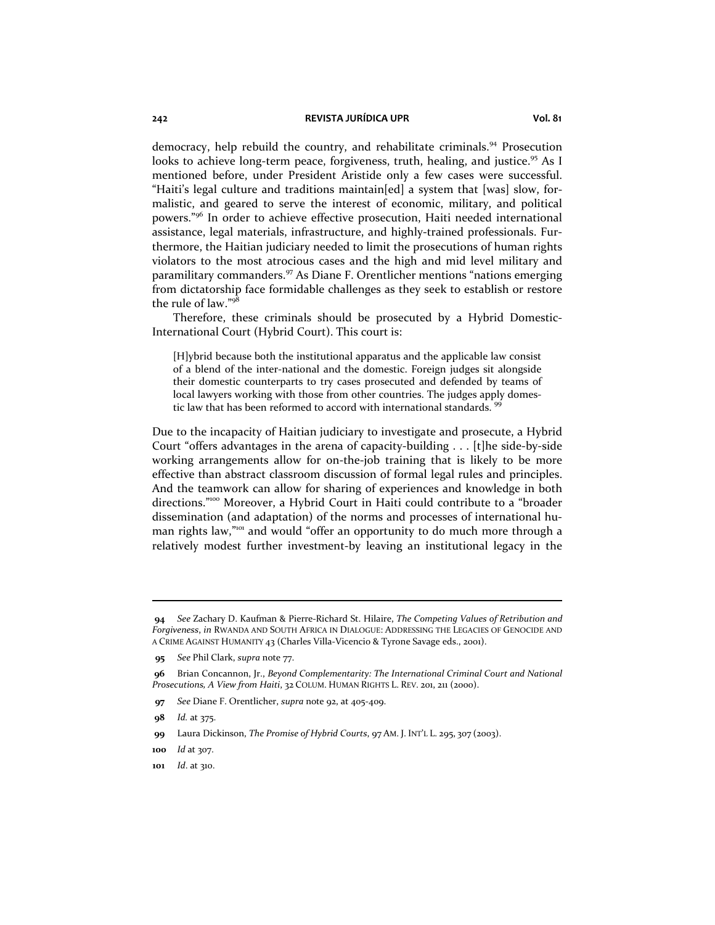democracy, help rebuild the country, and rehabilitate criminals.<sup>94</sup> Prosecution looks to achieve long-term peace, forgiveness, truth, healing, and justice.<sup>95</sup> As I mentioned before, under President Aristide only a few cases were successful. "Haiti's legal culture and traditions maintain[ed] a system that [was] slow, formalistic, and geared to serve the interest of economic, military, and political powers."<sup>96</sup> In order to achieve effective prosecution, Haiti needed international assistance, legal materials, infrastructure, and highly-trained professionals. Furthermore, the Haitian judiciary needed to limit the prosecutions of human rights violators to the most atrocious cases and the high and mid level military and paramilitary commanders.97 As Diane F. Orentlicher mentions "nations emerging from dictatorship face formidable challenges as they seek to establish or restore the rule of law."<sup>98</sup>

Therefore, these criminals should be prosecuted by a Hybrid Domestic-International Court (Hybrid Court). This court is:

[H]ybrid because both the institutional apparatus and the applicable law consist of a blend of the inter-national and the domestic. Foreign judges sit alongside their domestic counterparts to try cases prosecuted and defended by teams of local lawyers working with those from other countries. The judges apply domestic law that has been reformed to accord with international standards.<sup>9</sup>

Due to the incapacity of Haitian judiciary to investigate and prosecute, a Hybrid Court "offers advantages in the arena of capacity-building . . . [t]he side-by-side working arrangements allow for on-the-job training that is likely to be more effective than abstract classroom discussion of formal legal rules and principles. And the teamwork can allow for sharing of experiences and knowledge in both directions."<sup>100</sup> Moreover, a Hybrid Court in Haiti could contribute to a "broader dissemination (and adaptation) of the norms and processes of international human rights law,"<sup>101</sup> and would "offer an opportunity to do much more through a relatively modest further investment-by leaving an institutional legacy in the

**<sup>94</sup>** *See* Zachary D. Kaufman & Pierre-Richard St. Hilaire, *The Competing Values of Retribution and Forgiveness*, *in* RWANDA AND SOUTH AFRICA IN DIALOGUE: ADDRESSING THE LEGACIES OF GENOCIDE AND A CRIME AGAINST HUMANITY 43 (Charles Villa-Vicencio & Tyrone Savage eds., 2001).

**<sup>95</sup>** *See* Phil Clark, *supra* note 77.

**<sup>96</sup>** Brian Concannon, Jr., *Beyond Complementarity: The International Criminal Court and National Prosecutions, A View from Haiti*, 32 COLUM. HUMAN RIGHTS L. REV. 201, 211 (2000).

**<sup>97</sup>** *See* Diane F. Orentlicher, *supra* note 92, at 405-409.

**<sup>98</sup>** *Id.* at 375.

**<sup>99</sup>** Laura Dickinson, *The Promise of Hybrid Courts*, 97 AM. J. INT'L L. 295, 307 (2003).

**<sup>100</sup>** *Id at 307.* 

**<sup>101</sup>** *Id*. at 310.